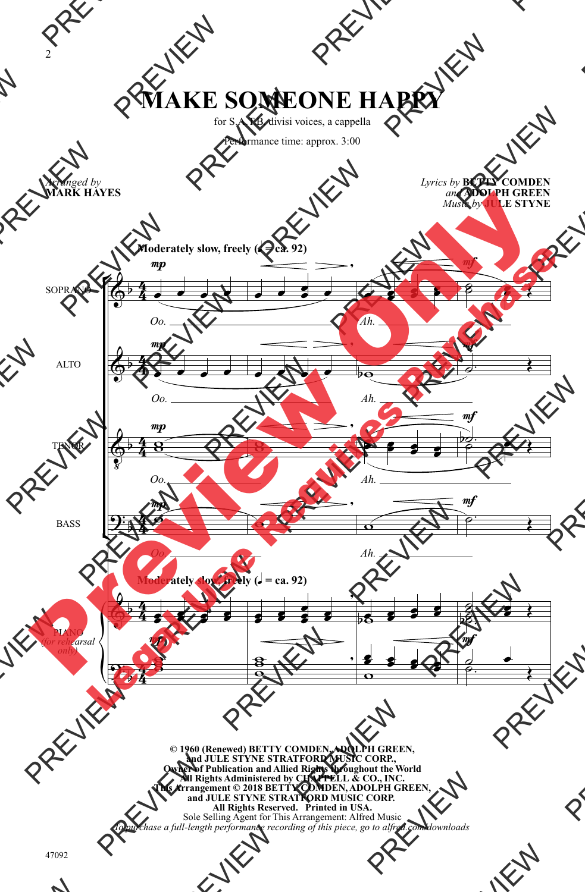## **MAKE SOMEONE HAPPY**

for S.A.T.B. divisi voices, a cappella

Performance time: approx. 3:00



**© 1960 (Renewed) BETTY COMDEN, ADOLPH GREEN, and JULE STYNE STRATFORD MUSIC CORP., Owner of Publication and Allied Rights throughout the World All Rights Administered by CHAPPELL & CO., INC. This Arrangement © 2018 BETTY COMDEN, ADOLPH GREEN, and JULE STYNE STRATFORD MUSIC CORP. All Rights Reserved. Printed in USA.** Sole Selling Agent for This Arrangement: Alfred Music *To purchase a full-length performance recording of this piece, go to alfred.com/downloads*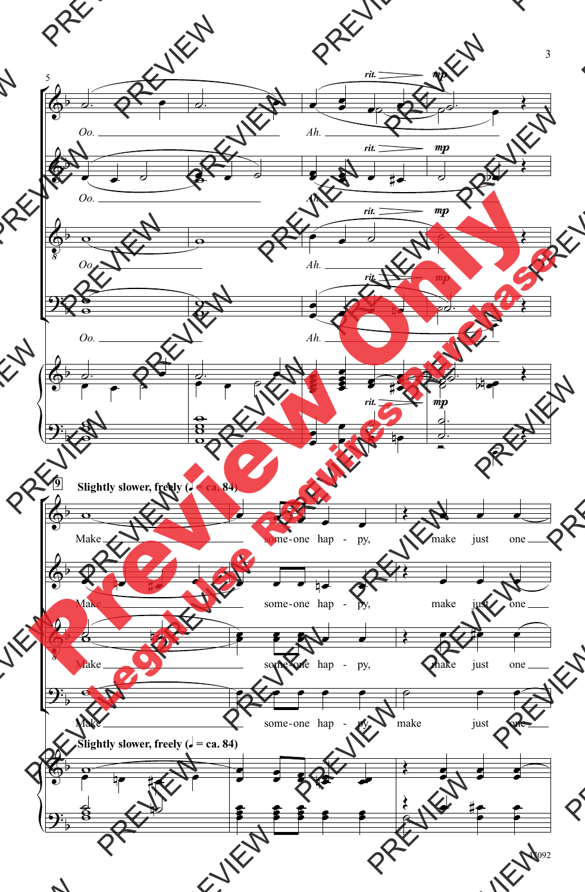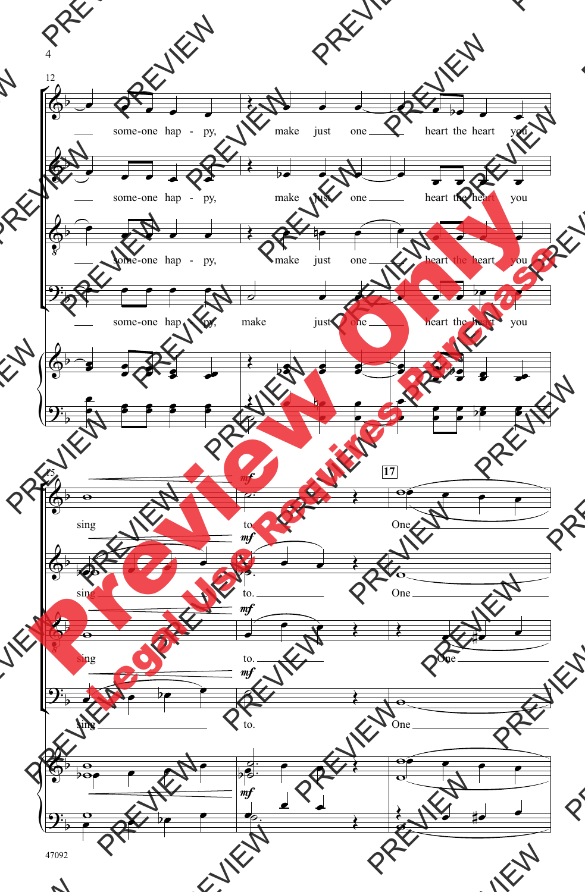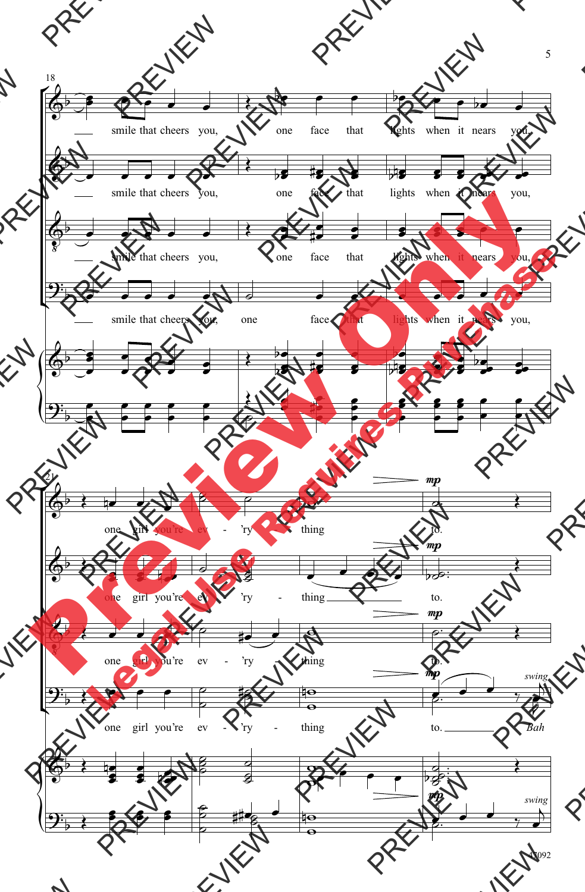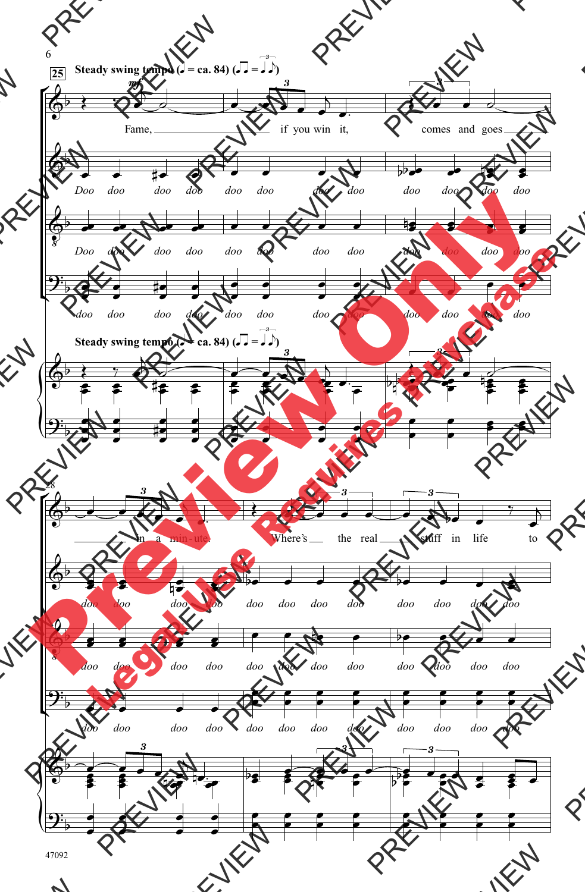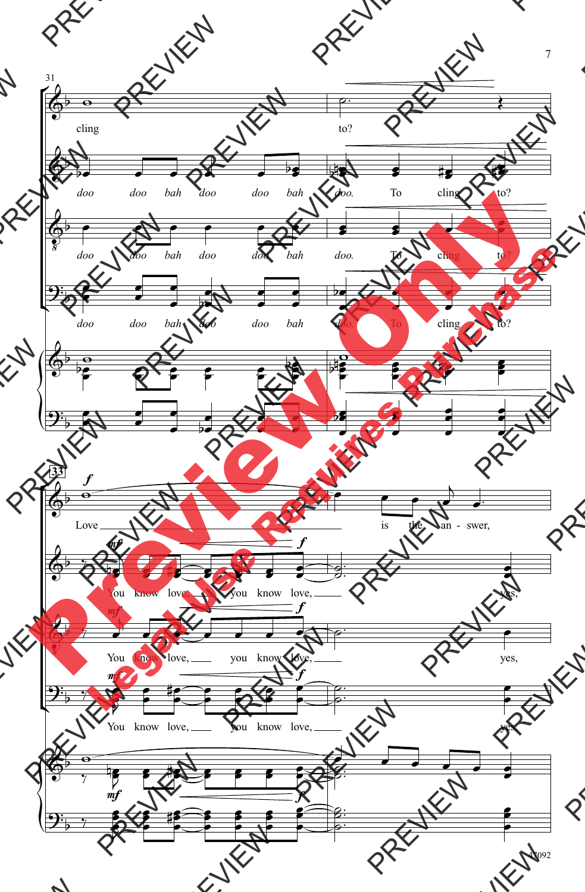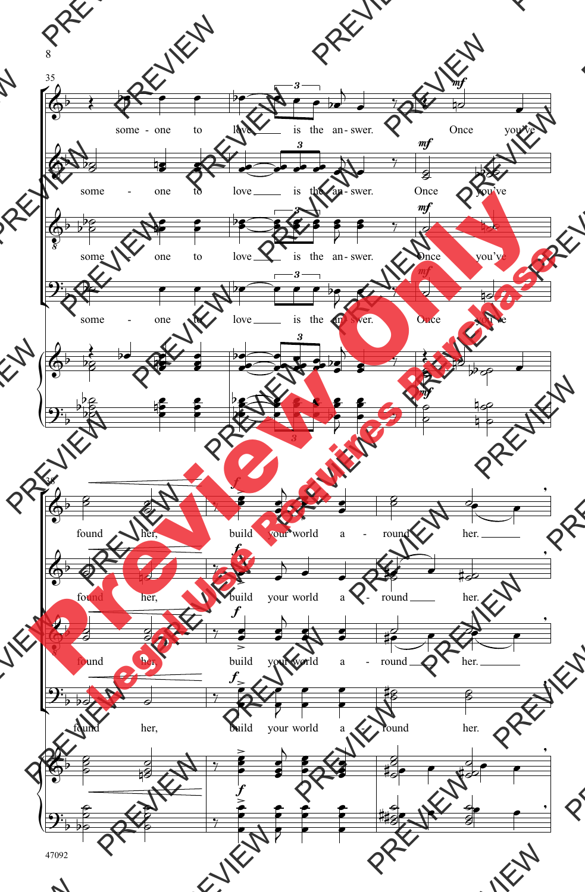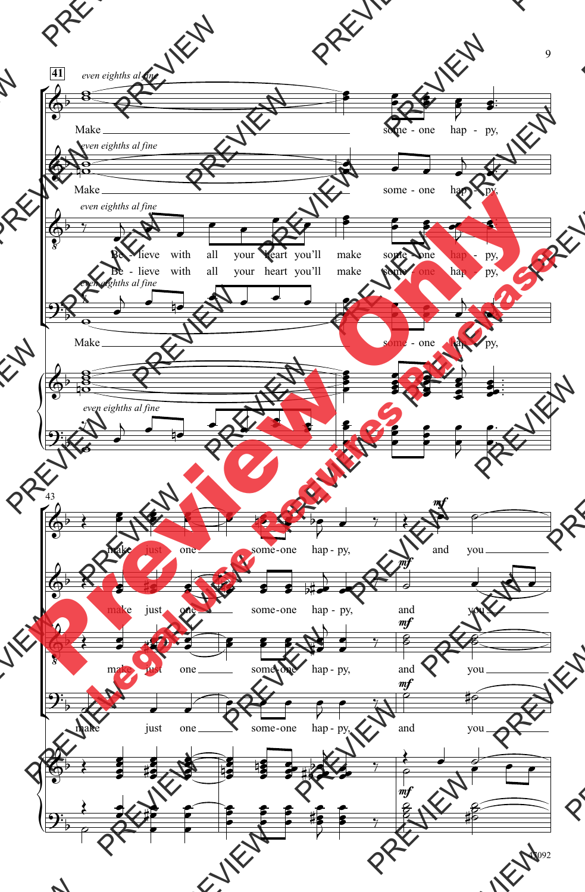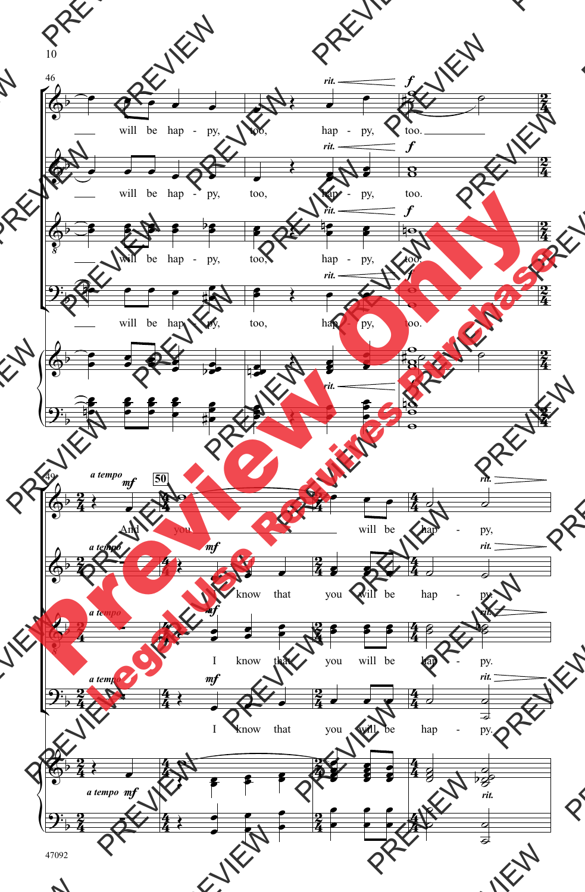